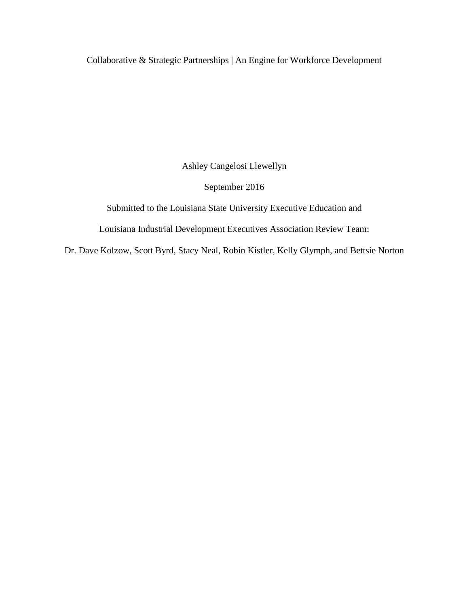Collaborative & Strategic Partnerships | An Engine for Workforce Development

Ashley Cangelosi Llewellyn

September 2016

Submitted to the Louisiana State University Executive Education and

Louisiana Industrial Development Executives Association Review Team:

Dr. Dave Kolzow, Scott Byrd, Stacy Neal, Robin Kistler, Kelly Glymph, and Bettsie Norton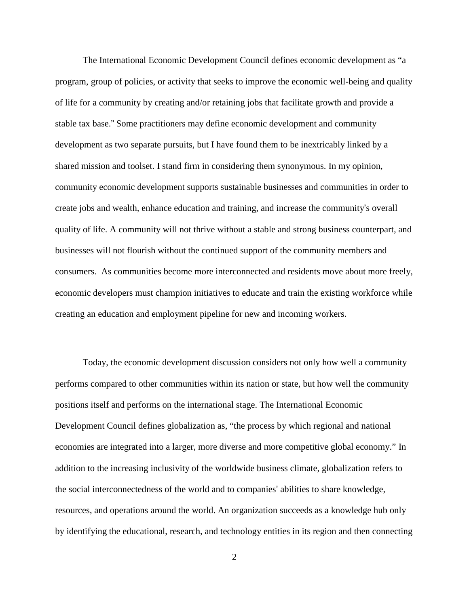The International Economic Development Council defines economic development as "a program, group of policies, or activity that seeks to improve the economic well-being and quality of life for a community by creating and/or retaining jobs that facilitate growth and provide a stable tax base." Some practitioners may define economic development and community development as two separate pursuits, but I have found them to be inextricably linked by a shared mission and toolset. I stand firm in considering them synonymous. In my opinion, community economic development supports sustainable businesses and communities in order to create jobs and wealth, enhance education and training, and increase the community's overall quality of life. A community will not thrive without a stable and strong business counterpart, and businesses will not flourish without the continued support of the community members and consumers. As communities become more interconnected and residents move about more freely, economic developers must champion initiatives to educate and train the existing workforce while creating an education and employment pipeline for new and incoming workers.

Today, the economic development discussion considers not only how well a community performs compared to other communities within its nation or state, but how well the community positions itself and performs on the international stage. The International Economic Development Council defines globalization as, "the process by which regional and national economies are integrated into a larger, more diverse and more competitive global economy." In addition to the increasing inclusivity of the worldwide business climate, globalization refers to the social interconnectedness of the world and to companies' abilities to share knowledge, resources, and operations around the world. An organization succeeds as a knowledge hub only by identifying the educational, research, and technology entities in its region and then connecting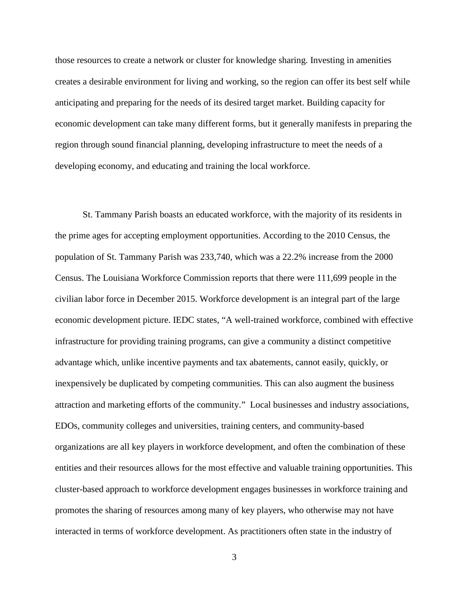those resources to create a network or cluster for knowledge sharing. Investing in amenities creates a desirable environment for living and working, so the region can offer its best self while anticipating and preparing for the needs of its desired target market. Building capacity for economic development can take many different forms, but it generally manifests in preparing the region through sound financial planning, developing infrastructure to meet the needs of a developing economy, and educating and training the local workforce.

St. Tammany Parish boasts an educated workforce, with the majority of its residents in the prime ages for accepting employment opportunities. According to the 2010 Census, the population of St. Tammany Parish was 233,740, which was a 22.2% increase from the 2000 Census. The Louisiana Workforce Commission reports that there were 111,699 people in the civilian labor force in December 2015. Workforce development is an integral part of the large economic development picture. IEDC states, "A well-trained workforce, combined with effective infrastructure for providing training programs, can give a community a distinct competitive advantage which, unlike incentive payments and tax abatements, cannot easily, quickly, or inexpensively be duplicated by competing communities. This can also augment the business attraction and marketing efforts of the community." Local businesses and industry associations, EDOs, community colleges and universities, training centers, and community-based organizations are all key players in workforce development, and often the combination of these entities and their resources allows for the most effective and valuable training opportunities. This cluster-based approach to workforce development engages businesses in workforce training and promotes the sharing of resources among many of key players, who otherwise may not have interacted in terms of workforce development. As practitioners often state in the industry of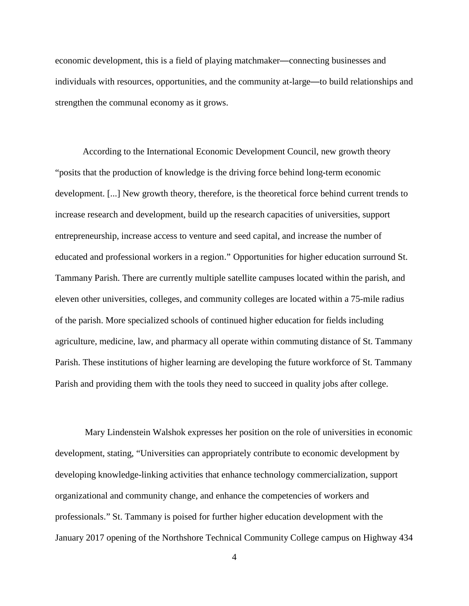economic development, this is a field of playing matchmaker—connecting businesses and individuals with resources, opportunities, and the community at-large—to build relationships and strengthen the communal economy as it grows.

According to the International Economic Development Council, new growth theory "posits that the production of knowledge is the driving force behind long-term economic development. [...] New growth theory, therefore, is the theoretical force behind current trends to increase research and development, build up the research capacities of universities, support entrepreneurship, increase access to venture and seed capital, and increase the number of educated and professional workers in a region." Opportunities for higher education surround St. Tammany Parish. There are currently multiple satellite campuses located within the parish, and eleven other universities, colleges, and community colleges are located within a 75-mile radius of the parish. More specialized schools of continued higher education for fields including agriculture, medicine, law, and pharmacy all operate within commuting distance of St. Tammany Parish. These institutions of higher learning are developing the future workforce of St. Tammany Parish and providing them with the tools they need to succeed in quality jobs after college.

Mary Lindenstein Walshok expresses her position on the role of universities in economic development, stating, "Universities can appropriately contribute to economic development by developing knowledge-linking activities that enhance technology commercialization, support organizational and community change, and enhance the competencies of workers and professionals." St. Tammany is poised for further higher education development with the January 2017 opening of the Northshore Technical Community College campus on Highway 434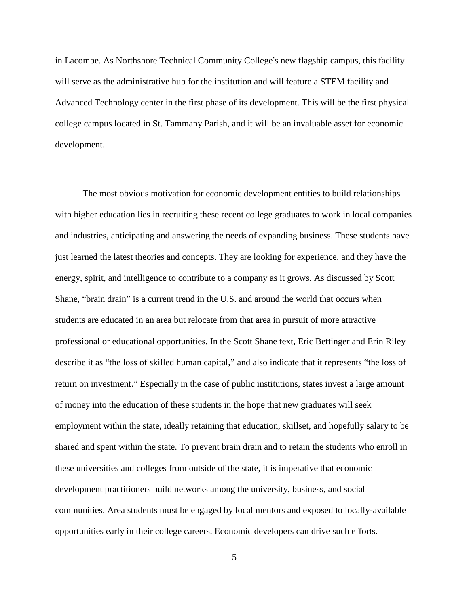in Lacombe. As Northshore Technical Community College's new flagship campus, this facility will serve as the administrative hub for the institution and will feature a STEM facility and Advanced Technology center in the first phase of its development. This will be the first physical college campus located in St. Tammany Parish, and it will be an invaluable asset for economic development.

The most obvious motivation for economic development entities to build relationships with higher education lies in recruiting these recent college graduates to work in local companies and industries, anticipating and answering the needs of expanding business. These students have just learned the latest theories and concepts. They are looking for experience, and they have the energy, spirit, and intelligence to contribute to a company as it grows. As discussed by Scott Shane, "brain drain" is a current trend in the U.S. and around the world that occurs when students are educated in an area but relocate from that area in pursuit of more attractive professional or educational opportunities. In the Scott Shane text, Eric Bettinger and Erin Riley describe it as "the loss of skilled human capital," and also indicate that it represents "the loss of return on investment." Especially in the case of public institutions, states invest a large amount of money into the education of these students in the hope that new graduates will seek employment within the state, ideally retaining that education, skillset, and hopefully salary to be shared and spent within the state. To prevent brain drain and to retain the students who enroll in these universities and colleges from outside of the state, it is imperative that economic development practitioners build networks among the university, business, and social communities. Area students must be engaged by local mentors and exposed to locally-available opportunities early in their college careers. Economic developers can drive such efforts.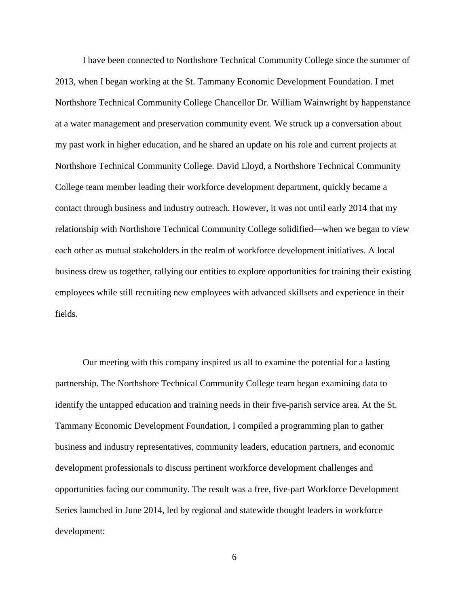I have been connected to Northshore Technical Community College since the summer of 2013, when I began working at the St. Tammany Economic Development Foundation. I met Northshore Technical Community College Chancellor Dr. William Wainwright by happenstance at a water management and preservation community event. We struck up a conversation about my past work in higher education, and he shared an update on his role and current projects at Northshore Technical Community College. David Lloyd, a Northshore Technical Community College team member leading their workforce development department, quickly became a contact through business and industry outreach. However, it was not until early 2014 that my relationship with Northshore Technical Community College solidified—when we began to view each other as mutual stakeholders in the realm of workforce development initiatives. A local business drew us together, rallying our entities to explore opportunities for training their existing employees while still recruiting new employees with advanced skillsets and experience in their fields.

Our meeting with this company inspired us all to examine the potential for a lasting partnership. The Northshore Technical Community College team began examining data to identify the untapped education and training needs in their five-parish service area. At the St. Tammany Economic Development Foundation, I compiled a programming plan to gather business and industry representatives, community leaders, education partners, and economic development professionals to discuss pertinent workforce development challenges and opportunities facing our community. The result was a free, five-part Workforce Development Series launched in June 2014, led by regional and statewide thought leaders in workforce development:

6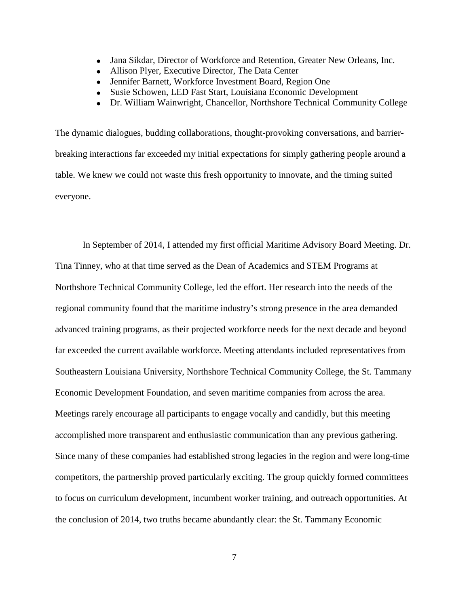- Jana Sikdar, Director of Workforce and Retention, Greater New Orleans, Inc.
- Allison Plyer, Executive Director, The Data Center
- Jennifer Barnett, Workforce Investment Board, Region One
- Susie Schowen, LED Fast Start, Louisiana Economic Development
- Dr. William Wainwright, Chancellor, Northshore Technical Community College

The dynamic dialogues, budding collaborations, thought-provoking conversations, and barrierbreaking interactions far exceeded my initial expectations for simply gathering people around a table. We knew we could not waste this fresh opportunity to innovate, and the timing suited everyone.

In September of 2014, I attended my first official Maritime Advisory Board Meeting. Dr. Tina Tinney, who at that time served as the Dean of Academics and STEM Programs at Northshore Technical Community College, led the effort. Her research into the needs of the regional community found that the maritime industry's strong presence in the area demanded advanced training programs, as their projected workforce needs for the next decade and beyond far exceeded the current available workforce. Meeting attendants included representatives from Southeastern Louisiana University, Northshore Technical Community College, the St. Tammany Economic Development Foundation, and seven maritime companies from across the area. Meetings rarely encourage all participants to engage vocally and candidly, but this meeting accomplished more transparent and enthusiastic communication than any previous gathering. Since many of these companies had established strong legacies in the region and were long-time competitors, the partnership proved particularly exciting. The group quickly formed committees to focus on curriculum development, incumbent worker training, and outreach opportunities. At the conclusion of 2014, two truths became abundantly clear: the St. Tammany Economic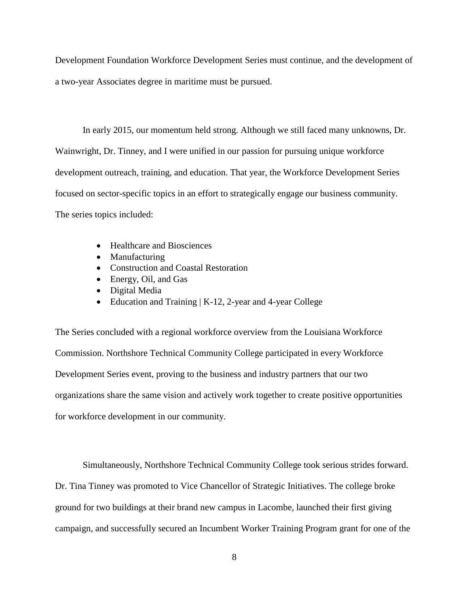Development Foundation Workforce Development Series must continue, and the development of a two-year Associates degree in maritime must be pursued.

In early 2015, our momentum held strong. Although we still faced many unknowns, Dr. Wainwright, Dr. Tinney, and I were unified in our passion for pursuing unique workforce development outreach, training, and education. That year, the Workforce Development Series focused on sector-specific topics in an effort to strategically engage our business community. The series topics included:

- Healthcare and Biosciences
- Manufacturing
- Construction and Coastal Restoration
- Energy, Oil, and Gas
- Digital Media
- Education and Training | K-12, 2-year and 4-year College

The Series concluded with a regional workforce overview from the Louisiana Workforce Commission. Northshore Technical Community College participated in every Workforce Development Series event, proving to the business and industry partners that our two organizations share the same vision and actively work together to create positive opportunities for workforce development in our community.

Simultaneously, Northshore Technical Community College took serious strides forward. Dr. Tina Tinney was promoted to Vice Chancellor of Strategic Initiatives. The college broke ground for two buildings at their brand new campus in Lacombe, launched their first giving campaign, and successfully secured an Incumbent Worker Training Program grant for one of the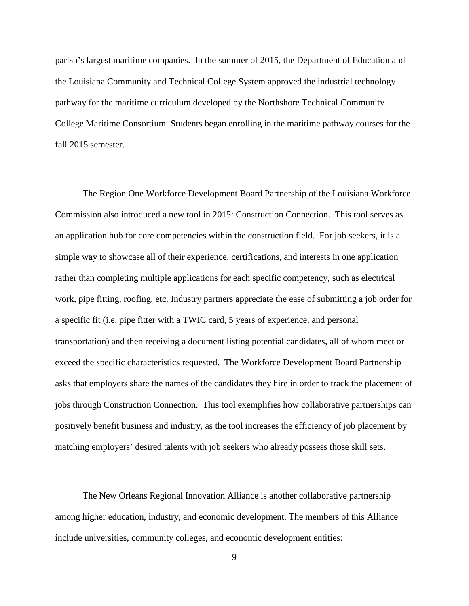parish's largest maritime companies. In the summer of 2015, the Department of Education and the Louisiana Community and Technical College System approved the industrial technology pathway for the maritime curriculum developed by the Northshore Technical Community College Maritime Consortium. Students began enrolling in the maritime pathway courses for the fall 2015 semester.

The Region One Workforce Development Board Partnership of the Louisiana Workforce Commission also introduced a new tool in 2015: Construction Connection. This tool serves as an application hub for core competencies within the construction field. For job seekers, it is a simple way to showcase all of their experience, certifications, and interests in one application rather than completing multiple applications for each specific competency, such as electrical work, pipe fitting, roofing, etc. Industry partners appreciate the ease of submitting a job order for a specific fit (i.e. pipe fitter with a TWIC card, 5 years of experience, and personal transportation) and then receiving a document listing potential candidates, all of whom meet or exceed the specific characteristics requested. The Workforce Development Board Partnership asks that employers share the names of the candidates they hire in order to track the placement of jobs through Construction Connection. This tool exemplifies how collaborative partnerships can positively benefit business and industry, as the tool increases the efficiency of job placement by matching employers' desired talents with job seekers who already possess those skill sets.

The New Orleans Regional Innovation Alliance is another collaborative partnership among higher education, industry, and economic development. The members of this Alliance include universities, community colleges, and economic development entities: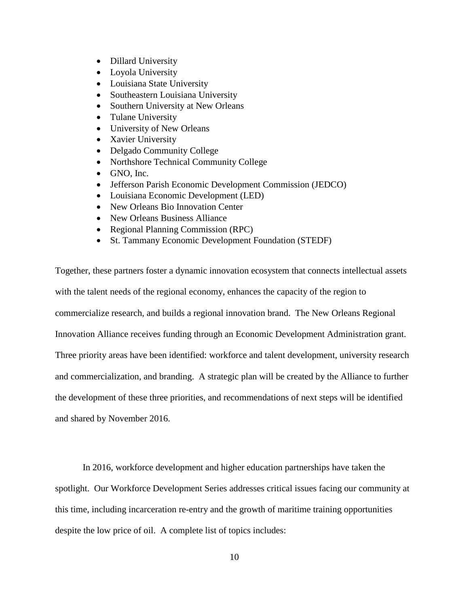- Dillard University
- Loyola University
- Louisiana State University
- Southeastern Louisiana University
- Southern University at New Orleans
- Tulane University
- University of New Orleans
- Xavier University
- Delgado Community College
- Northshore Technical Community College
- GNO, Inc.
- Jefferson Parish Economic Development Commission (JEDCO)
- Louisiana Economic Development (LED)
- New Orleans Bio Innovation Center
- New Orleans Business Alliance
- Regional Planning Commission (RPC)
- St. Tammany Economic Development Foundation (STEDF)

Together, these partners foster a dynamic innovation ecosystem that connects intellectual assets with the talent needs of the regional economy, enhances the capacity of the region to commercialize research, and builds a regional innovation brand. The New Orleans Regional Innovation Alliance receives funding through an Economic Development Administration grant. Three priority areas have been identified: workforce and talent development, university research and commercialization, and branding. A strategic plan will be created by the Alliance to further the development of these three priorities, and recommendations of next steps will be identified and shared by November 2016.

In 2016, workforce development and higher education partnerships have taken the spotlight. Our Workforce Development Series addresses critical issues facing our community at this time, including incarceration re-entry and the growth of maritime training opportunities despite the low price of oil. A complete list of topics includes: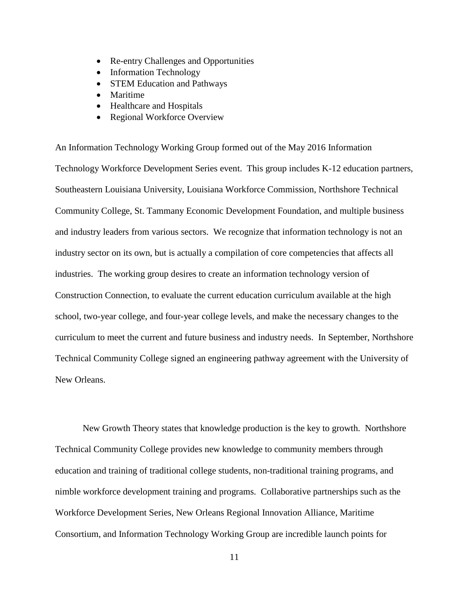- Re-entry Challenges and Opportunities
- Information Technology
- **STEM Education and Pathways**
- Maritime
- Healthcare and Hospitals
- Regional Workforce Overview

An Information Technology Working Group formed out of the May 2016 Information Technology Workforce Development Series event. This group includes K-12 education partners, Southeastern Louisiana University, Louisiana Workforce Commission, Northshore Technical Community College, St. Tammany Economic Development Foundation, and multiple business and industry leaders from various sectors. We recognize that information technology is not an industry sector on its own, but is actually a compilation of core competencies that affects all industries. The working group desires to create an information technology version of Construction Connection, to evaluate the current education curriculum available at the high school, two-year college, and four-year college levels, and make the necessary changes to the curriculum to meet the current and future business and industry needs. In September, Northshore Technical Community College signed an engineering pathway agreement with the University of New Orleans.

New Growth Theory states that knowledge production is the key to growth. Northshore Technical Community College provides new knowledge to community members through education and training of traditional college students, non-traditional training programs, and nimble workforce development training and programs. Collaborative partnerships such as the Workforce Development Series, New Orleans Regional Innovation Alliance, Maritime Consortium, and Information Technology Working Group are incredible launch points for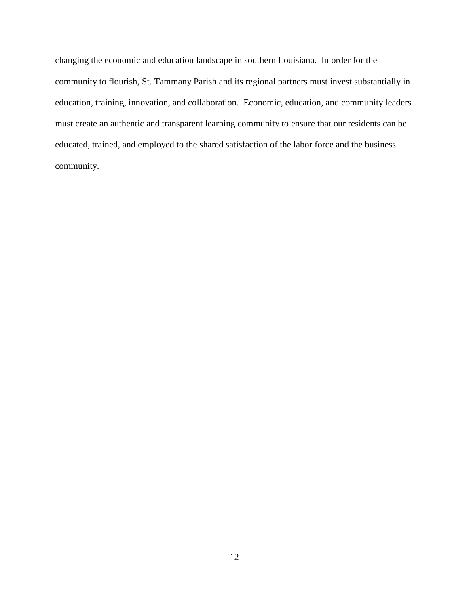changing the economic and education landscape in southern Louisiana. In order for the community to flourish, St. Tammany Parish and its regional partners must invest substantially in education, training, innovation, and collaboration. Economic, education, and community leaders must create an authentic and transparent learning community to ensure that our residents can be educated, trained, and employed to the shared satisfaction of the labor force and the business community.